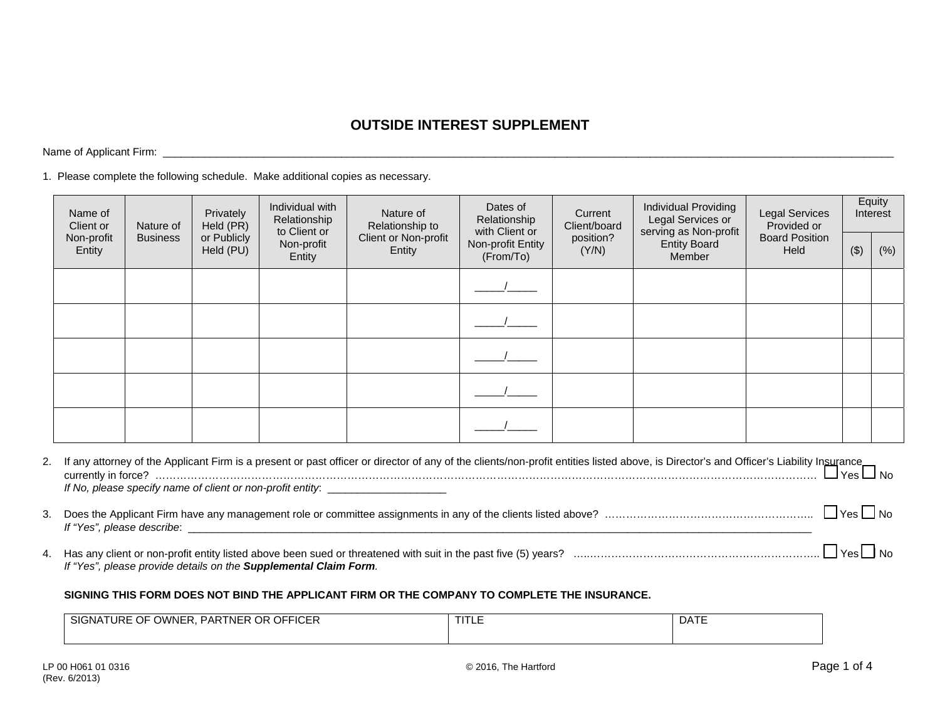## **OUTSIDE INTEREST SUPPLEMENT**

Name of Applicant Firm: \_\_\_\_\_\_\_\_\_\_\_\_\_\_\_\_\_\_\_\_\_\_\_\_\_\_\_\_\_\_\_\_\_\_\_\_\_\_\_\_\_\_\_\_\_\_\_\_\_\_\_\_\_\_\_\_\_\_\_\_\_\_\_\_\_\_\_\_\_\_\_\_\_\_\_\_\_\_\_\_\_\_\_\_\_\_\_\_\_\_\_\_\_\_\_\_\_\_\_\_\_\_\_\_\_\_\_\_\_\_\_\_\_\_\_\_\_\_\_\_\_\_\_

1. Please complete the following schedule. Make additional copies as necessary.

| Name of<br>Client or | Nature of       | Privately<br>Held (PR)   | Individual with<br>Relationship<br>to Client or | Nature of<br>Relationship to   | Dates of<br>Relationship<br>with Client or | Current<br>Client/board | Individual Providing<br>Legal Services or<br>serving as Non-profit<br><b>Entity Board</b><br>Member | <b>Legal Services</b><br>Provided or<br><b>Board Position</b><br>Held | Equity<br>Interest |      |
|----------------------|-----------------|--------------------------|-------------------------------------------------|--------------------------------|--------------------------------------------|-------------------------|-----------------------------------------------------------------------------------------------------|-----------------------------------------------------------------------|--------------------|------|
| Non-profit<br>Entity | <b>Business</b> | or Publicly<br>Held (PU) | Non-profit<br>Entity                            | Client or Non-profit<br>Entity | Non-profit Entity<br>(From/To)             | position?<br>(Y/N)      |                                                                                                     |                                                                       | $($ \$)            | (% ) |
|                      |                 |                          |                                                 |                                |                                            |                         |                                                                                                     |                                                                       |                    |      |
|                      |                 |                          |                                                 |                                |                                            |                         |                                                                                                     |                                                                       |                    |      |
|                      |                 |                          |                                                 |                                |                                            |                         |                                                                                                     |                                                                       |                    |      |
|                      |                 |                          |                                                 |                                |                                            |                         |                                                                                                     |                                                                       |                    |      |
|                      |                 |                          |                                                 |                                |                                            |                         |                                                                                                     |                                                                       |                    |      |

|    | 2. If any attorney of the Applicant Firm is a present or past officer or director of any of the clients/non-profit entities listed above, is Director's and Officer's Liability Insurance<br>Ves No |           |
|----|-----------------------------------------------------------------------------------------------------------------------------------------------------------------------------------------------------|-----------|
|    | If No, please specify name of client or non-profit entity: _____________________                                                                                                                    |           |
| 3. | If "Yes", please describe:<br><u> 1990 - Jan James James, president filozof, mendebaldear eta biztanleria (h. 1980).</u>                                                                            | Yes   INo |
|    |                                                                                                                                                                                                     |           |

4. Has any client or non-profit entity listed above been sued or threatened with suit in the past five (5) years? …..……………………………………………………….. Yes No *If "Yes", please provide details on the Supplemental Claim Form.*

## **SIGNING THIS FORM DOES NOT BIND THE APPLICANT FIRM OR THE COMPANY TO COMPLETE THE INSURANCE.**

| <b>OFFICER</b><br>OR<br>$\sim$ $\sim$<br>SIG<br>$\sim$<br><b>URE</b><br>PARTNER<br>:WNF<br>-NA<br>◡<br><u>vv</u> | ााा∟∟ | <b>DATE</b> |  |  |
|------------------------------------------------------------------------------------------------------------------|-------|-------------|--|--|
|                                                                                                                  |       |             |  |  |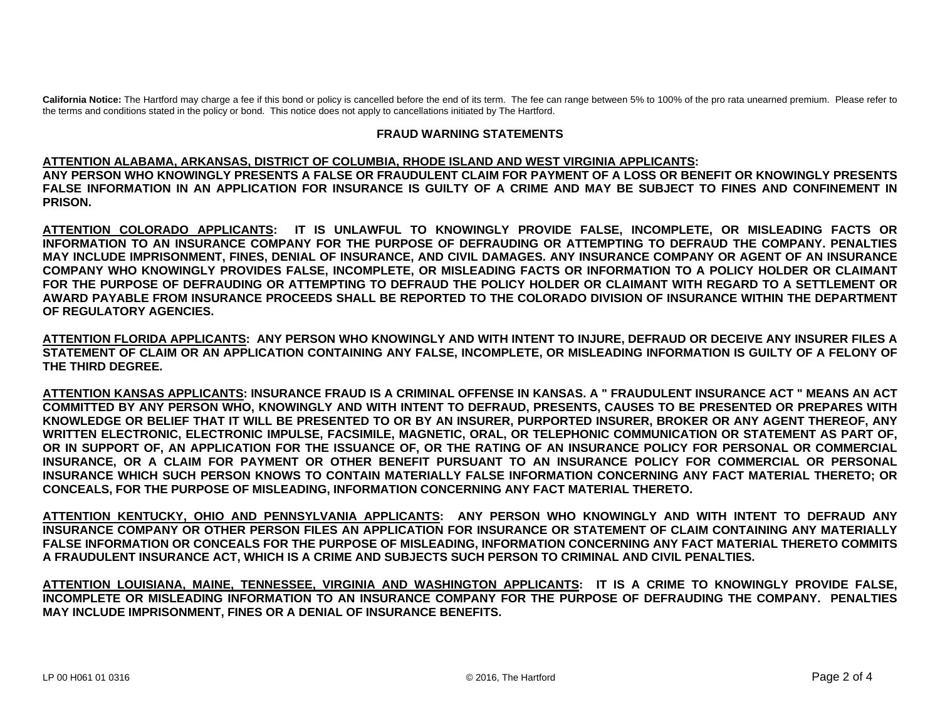**California Notice:** The Hartford may charge a fee if this bond or policy is cancelled before the end of its term. The fee can range between 5% to 100% of the pro rata unearned premium. Please refer to the terms and conditions stated in the policy or bond. This notice does not apply to cancellations initiated by The Hartford.

## **FRAUD WARNING STATEMENTS**

## **ATTENTION ALABAMA, ARKANSAS, DISTRICT OF COLUMBIA, RHODE ISLAND AND WEST VIRGINIA APPLICANTS:**

**ANY PERSON WHO KNOWINGLY PRESENTS A FALSE OR FRAUDULENT CLAIM FOR PAYMENT OF A LOSS OR BENEFIT OR KNOWINGLY PRESENTS FALSE INFORMATION IN AN APPLICATION FOR INSURANCE IS GUILTY OF A CRIME AND MAY BE SUBJECT TO FINES AND CONFINEMENT IN PRISON.** 

**ATTENTION COLORADO APPLICANTS: IT IS UNLAWFUL TO KNOWINGLY PROVIDE FALSE, INCOMPLETE, OR MISLEADING FACTS OR INFORMATION TO AN INSURANCE COMPANY FOR THE PURPOSE OF DEFRAUDING OR ATTEMPTING TO DEFRAUD THE COMPANY. PENALTIES MAY INCLUDE IMPRISONMENT, FINES, DENIAL OF INSURANCE, AND CIVIL DAMAGES. ANY INSURANCE COMPANY OR AGENT OF AN INSURANCE COMPANY WHO KNOWINGLY PROVIDES FALSE, INCOMPLETE, OR MISLEADING FACTS OR INFORMATION TO A POLICY HOLDER OR CLAIMANT FOR THE PURPOSE OF DEFRAUDING OR ATTEMPTING TO DEFRAUD THE POLICY HOLDER OR CLAIMANT WITH REGARD TO A SETTLEMENT OR AWARD PAYABLE FROM INSURANCE PROCEEDS SHALL BE REPORTED TO THE COLORADO DIVISION OF INSURANCE WITHIN THE DEPARTMENT OF REGULATORY AGENCIES.** 

**ATTENTION FLORIDA APPLICANTS: ANY PERSON WHO KNOWINGLY AND WITH INTENT TO INJURE, DEFRAUD OR DECEIVE ANY INSURER FILES A STATEMENT OF CLAIM OR AN APPLICATION CONTAINING ANY FALSE, INCOMPLETE, OR MISLEADING INFORMATION IS GUILTY OF A FELONY OF THE THIRD DEGREE.** 

**ATTENTION KANSAS APPLICANTS: INSURANCE FRAUD IS A CRIMINAL OFFENSE IN KANSAS. A " FRAUDULENT INSURANCE ACT " MEANS AN ACT COMMITTED BY ANY PERSON WHO, KNOWINGLY AND WITH INTENT TO DEFRAUD, PRESENTS, CAUSES TO BE PRESENTED OR PREPARES WITH KNOWLEDGE OR BELIEF THAT IT WILL BE PRESENTED TO OR BY AN INSURER, PURPORTED INSURER, BROKER OR ANY AGENT THEREOF, ANY WRITTEN ELECTRONIC, ELECTRONIC IMPULSE, FACSIMILE, MAGNETIC, ORAL, OR TELEPHONIC COMMUNICATION OR STATEMENT AS PART OF, OR IN SUPPORT OF, AN APPLICATION FOR THE ISSUANCE OF, OR THE RATING OF AN INSURANCE POLICY FOR PERSONAL OR COMMERCIAL INSURANCE, OR A CLAIM FOR PAYMENT OR OTHER BENEFIT PURSUANT TO AN INSURANCE POLICY FOR COMMERCIAL OR PERSONAL INSURANCE WHICH SUCH PERSON KNOWS TO CONTAIN MATERIALLY FALSE INFORMATION CONCERNING ANY FACT MATERIAL THERETO; OR CONCEALS, FOR THE PURPOSE OF MISLEADING, INFORMATION CONCERNING ANY FACT MATERIAL THERETO.** 

**ATTENTION KENTUCKY, OHIO AND PENNSYLVANIA APPLICANTS: ANY PERSON WHO KNOWINGLY AND WITH INTENT TO DEFRAUD ANY INSURANCE COMPANY OR OTHER PERSON FILES AN APPLICATION FOR INSURANCE OR STATEMENT OF CLAIM CONTAINING ANY MATERIALLY FALSE INFORMATION OR CONCEALS FOR THE PURPOSE OF MISLEADING, INFORMATION CONCERNING ANY FACT MATERIAL THERETO COMMITS A FRAUDULENT INSURANCE ACT, WHICH IS A CRIME AND SUBJECTS SUCH PERSON TO CRIMINAL AND CIVIL PENALTIES.** 

**ATTENTION LOUISIANA, MAINE, TENNESSEE, VIRGINIA AND WASHINGTON APPLICANTS: IT IS A CRIME TO KNOWINGLY PROVIDE FALSE, INCOMPLETE OR MISLEADING INFORMATION TO AN INSURANCE COMPANY FOR THE PURPOSE OF DEFRAUDING THE COMPANY. PENALTIES MAY INCLUDE IMPRISONMENT, FINES OR A DENIAL OF INSURANCE BENEFITS.**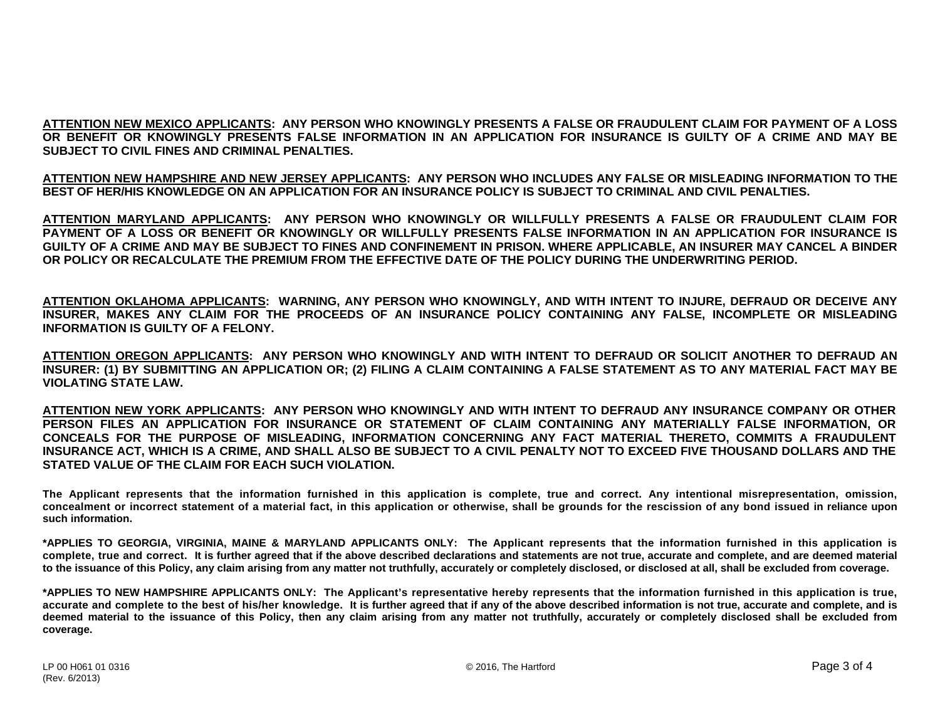**ATTENTION NEW MEXICO APPLICANTS: ANY PERSON WHO KNOWINGLY PRESENTS A FALSE OR FRAUDULENT CLAIM FOR PAYMENT OF A LOSS OR BENEFIT OR KNOWINGLY PRESENTS FALSE INFORMATION IN AN APPLICATION FOR INSURANCE IS GUILTY OF A CRIME AND MAY BE SUBJECT TO CIVIL FINES AND CRIMINAL PENALTIES.** 

**ATTENTION NEW HAMPSHIRE AND NEW JERSEY APPLICANTS: ANY PERSON WHO INCLUDES ANY FALSE OR MISLEADING INFORMATION TO THE BEST OF HER/HIS KNOWLEDGE ON AN APPLICATION FOR AN INSURANCE POLICY IS SUBJECT TO CRIMINAL AND CIVIL PENALTIES.** 

**ATTENTION MARYLAND APPLICANTS: ANY PERSON WHO KNOWINGLY OR WILLFULLY PRESENTS A FALSE OR FRAUDULENT CLAIM FOR PAYMENT OF A LOSS OR BENEFIT OR KNOWINGLY OR WILLFULLY PRESENTS FALSE INFORMATION IN AN APPLICATION FOR INSURANCE IS GUILTY OF A CRIME AND MAY BE SUBJECT TO FINES AND CONFINEMENT IN PRISON. WHERE APPLICABLE, AN INSURER MAY CANCEL A BINDER OR POLICY OR RECALCULATE THE PREMIUM FROM THE EFFECTIVE DATE OF THE POLICY DURING THE UNDERWRITING PERIOD.** 

**ATTENTION OKLAHOMA APPLICANTS: WARNING, ANY PERSON WHO KNOWINGLY, AND WITH INTENT TO INJURE, DEFRAUD OR DECEIVE ANY INSURER, MAKES ANY CLAIM FOR THE PROCEEDS OF AN INSURANCE POLICY CONTAINING ANY FALSE, INCOMPLETE OR MISLEADING INFORMATION IS GUILTY OF A FELONY.** 

**ATTENTION OREGON APPLICANTS: ANY PERSON WHO KNOWINGLY AND WITH INTENT TO DEFRAUD OR SOLICIT ANOTHER TO DEFRAUD AN INSURER: (1) BY SUBMITTING AN APPLICATION OR; (2) FILING A CLAIM CONTAINING A FALSE STATEMENT AS TO ANY MATERIAL FACT MAY BE VIOLATING STATE LAW.** 

**ATTENTION NEW YORK APPLICANTS: ANY PERSON WHO KNOWINGLY AND WITH INTENT TO DEFRAUD ANY INSURANCE COMPANY OR OTHER PERSON FILES AN APPLICATION FOR INSURANCE OR STATEMENT OF CLAIM CONTAINING ANY MATERIALLY FALSE INFORMATION, OR CONCEALS FOR THE PURPOSE OF MISLEADING, INFORMATION CONCERNING ANY FACT MATERIAL THERETO, COMMITS A FRAUDULENT INSURANCE ACT, WHICH IS A CRIME, AND SHALL ALSO BE SUBJECT TO A CIVIL PENALTY NOT TO EXCEED FIVE THOUSAND DOLLARS AND THE STATED VALUE OF THE CLAIM FOR EACH SUCH VIOLATION.** 

**The Applicant represents that the information furnished in this application is complete, true and correct. Any intentional misrepresentation, omission, concealment or incorrect statement of a material fact, in this application or otherwise, shall be grounds for the rescission of any bond issued in reliance upon such information.** 

**\*APPLIES TO GEORGIA, VIRGINIA, MAINE & MARYLAND APPLICANTS ONLY: The Applicant represents that the information furnished in this application is complete, true and correct. It is further agreed that if the above described declarations and statements are not true, accurate and complete, and are deemed material to the issuance of this Policy, any claim arising from any matter not truthfully, accurately or completely disclosed, or disclosed at all, shall be excluded from coverage.** 

**\*APPLIES TO NEW HAMPSHIRE APPLICANTS ONLY: The Applicant's representative hereby represents that the information furnished in this application is true, accurate and complete to the best of his/her knowledge. It is further agreed that if any of the above described information is not true, accurate and complete, and is deemed material to the issuance of this Policy, then any claim arising from any matter not truthfully, accurately or completely disclosed shall be excluded from coverage.**